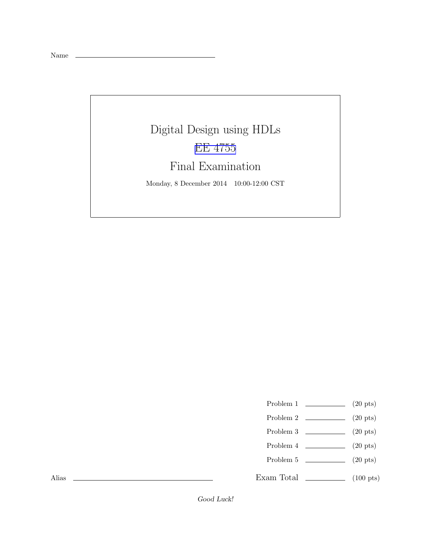Name

## Digital Design using HDLs [EE 4755](http://www.ece.lsu.edu/koppel/v/) Final Examination Monday, 8 December 2014 10:00-12:00 CST

- Problem 1  $\qquad \qquad$  (20 pts)
- Problem 2  $\qquad \qquad$  (20 pts)
- Problem 3 (20 pts)
- Problem 4  $\qquad \qquad (20 \text{ pts})$
- Problem 5  $\qquad \qquad (20 \text{ pts})$
- Exam Total  $\qquad \qquad$  (100 pts)

Alias

Good Luck!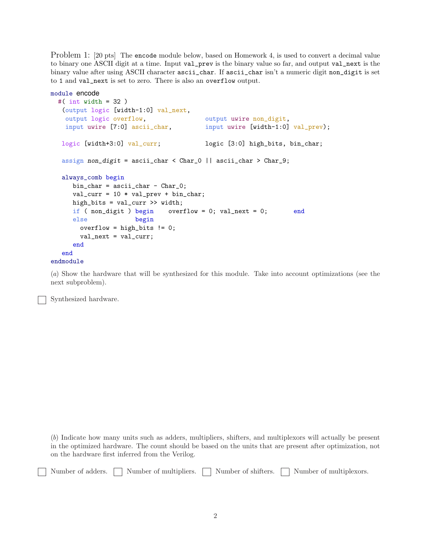Problem 1: [20 pts] The encode module below, based on Homework 4, is used to convert a decimal value to binary one ASCII digit at a time. Input val\_prev is the binary value so far, and output val\_next is the binary value after using ASCII character ascii\_char. If ascii\_char isn't a numeric digit non\_digit is set to 1 and val\_next is set to zero. There is also an overflow output.

```
module encode
 #( int width = 32 )
  (output logic [width-1:0] val_next,
   output logic overflow, output wire non_digit,
   input uwire [7:0] ascii_char, input uwire [width-1:0] val_prev);
  logic [width+3:0] val_curr; logic [3:0] high_bits, bin_char;
  assign non_digit = ascii_char < Char_0 || ascii_char > Char_9;
  always_comb begin
     bin_char = ascii_char - Char_0;
     val\_curr = 10 * val\_prev + bin\_char;high_bits = val_curr >> width;
     if ( non-digit ) begin overflow = 0; val_next = 0; end
     else begin
       overflow = high_bits != 0;
       val_next = val_curr;
     end
  end
endmodule
```
(a) Show the hardware that will be synthesized for this module. Take into account optimizations (see the next subproblem).

Synthesized hardware.

(b) Indicate how many units such as adders, multipliers, shifters, and multiplexors will actually be present in the optimized hardware. The count should be based on the units that are present after optimization, not on the hardware first inferred from the Verilog.

Number of adders.  $\Box$  Number of multipliers.  $\Box$  Number of shifters.  $\Box$  Number of multiplexors.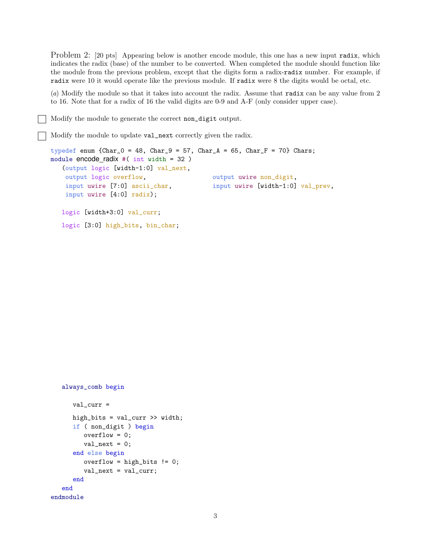Problem 2: [20 pts] Appearing below is another encode module, this one has a new input radix, which indicates the radix (base) of the number to be converted. When completed the module should function like the module from the previous problem, except that the digits form a radix-radix number. For example, if radix were 10 it would operate like the previous module. If radix were 8 the digits would be octal, etc.

(a) Modify the module so that it takes into account the radix. Assume that radix can be any value from 2 to 16. Note that for a radix of 16 the valid digits are 0-9 and A-F (only consider upper case).

Modify the module to generate the correct non\_digit output.

Modify the module to update val\_next correctly given the radix.

```
typedef enum {Char_0 = 48, Char_9 = 57, Char_A = 65, Char_F = 70} Chars;
module encode_radix #( int width = 32 )
   (output logic [width-1:0] val_next,
   output logic overflow, \qquad \qquad output uwire non_digit,
   input uwire [7:0] ascii_char, input uwire [width-1:0] val_prev,
   input uwire [4:0] radix);
  logic [width+3:0] val_curr;
  logic [3:0] high_bits, bin_char;
```

```
always_comb begin
      val_curr =
      high_bits = val_curr >> width;
      if ( non_digit ) begin
         overflow = 0;
         val\_next = 0;end else begin
         overflow = high\_bits != 0;
         val_next = val_curr;
      end
   end
endmodule
```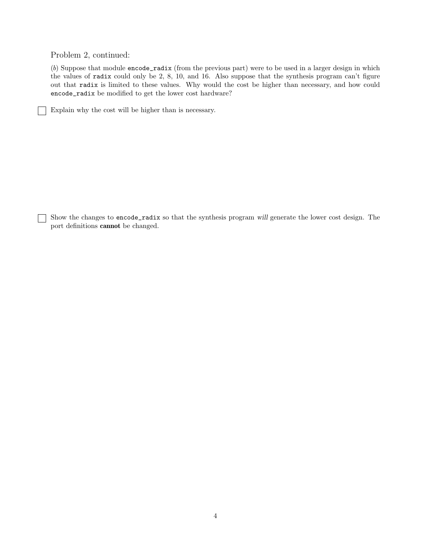Problem 2, continued:

 $\blacksquare$ 

(b) Suppose that module encode\_radix (from the previous part) were to be used in a larger design in which the values of radix could only be 2, 8, 10, and 16. Also suppose that the synthesis program can't figure out that radix is limited to these values. Why would the cost be higher than necessary, and how could encode\_radix be modified to get the lower cost hardware?

Explain why the cost will be higher than is necessary.

Show the changes to encode\_radix so that the synthesis program will generate the lower cost design. The port definitions cannot be changed.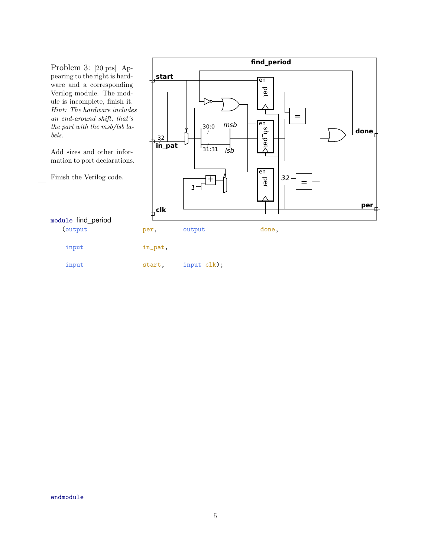**find\_period** Problem 3: [20 pts] Appearing to the right is hard**start** 曲 en ware and a corresponding pat Verilog module. The module is incomplete, finish it. ▷ Hint: The hardware includes an end-around shift, that's = msb en<br>G 30:0 the part with the msb/lsb la**done** bels. pat<sup>-</sup> 32 **in\_pat**  $\frac{1}{31:31}$ lsb Add sizes and other information to port declarations. en Finish the Verilog code. per 32  $+$ = 1 **per clk** ₦ 佳 module find\_period (output per, output done, input in\_pat, input start, input clk);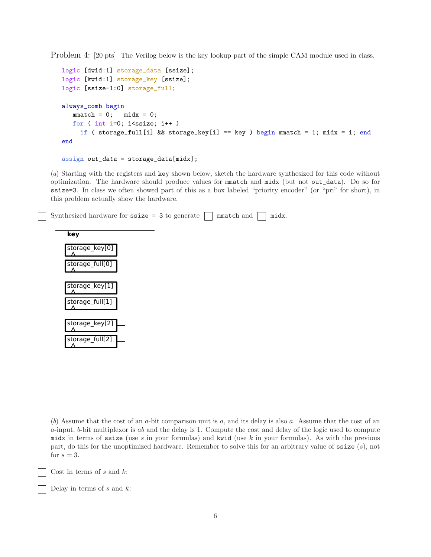Problem 4: [20 pts] The Verilog below is the key lookup part of the simple CAM module used in class.

```
logic [dwid:1] storage_data [ssize];
logic [kwid:1] storage_key [ssize];
logic [ssize-1:0] storage_full;
always_comb begin
   mmatch = 0; midx = 0;for ( int i=0; i <ssize; i++ )
     if ( storage_full[i] && storage_key[i] == key ) begin mmatch = 1; midx = i; end
end
```

```
assign out_data = storage_data[midx];
```
(a) Starting with the registers and key shown below, sketch the hardware synthesized for this code without optimization. The hardware should produce values for mmatch and midx (but not out\_data). Do so for ssize=3. In class we often showed part of this as a box labeled "priority encoder" (or "pri" for short), in this problem actually show the hardware.

Synthesized hardware for ssize = 3 to generate  $\Box$  mmatch and  $\Box$  midx.



(b) Assume that the cost of an a-bit comparison unit is a, and its delay is also a. Assume that the cost of an  $a$ -input,  $b$ -bit multiplexor is  $ab$  and the delay is 1. Compute the cost and delay of the logic used to compute midx in terms of ssize (use s in your formulas) and kwid (use k in your formulas). As with the previous part, do this for the unoptimized hardware. Remember to solve this for an arbitrary value of  $\texttt{ssize}(s)$ , not for  $s=3$ .

Cost in terms of  $s$  and  $k$ :

Delay in terms of  $s$  and  $k$ :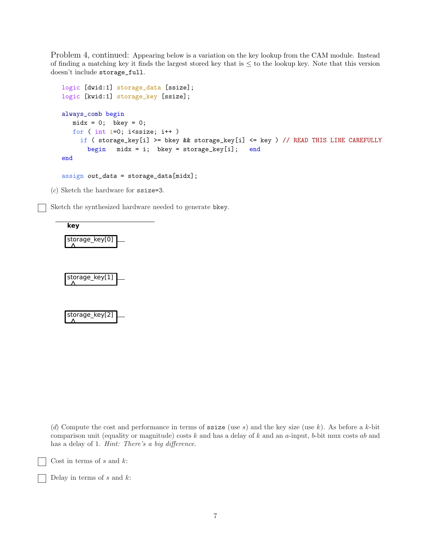Problem 4, continued: Appearing below is a variation on the key lookup from the CAM module. Instead of finding a matching key it finds the largest stored key that is  $\leq$  to the lookup key. Note that this version doesn't include storage\_full.

```
logic [dwid:1] storage_data [ssize];
logic [kwid:1] storage_key [ssize];
always_comb begin
   midx = 0; bkey = 0;
   for ( int i=0; i <ssize; i++ )
     if ( storage_key[i] >= bkey && storage_key[i] <= key ) // READ THIS LINE CAREFULLY
       begin midx = i; bkey = storage_key[i]; end
end
assign out_data = storage_data[midx];
```
(c) Sketch the hardware for ssize=3.

Sketch the synthesized hardware needed to generate bkey.







(d) Compute the cost and performance in terms of ssize (use s) and the key size (use k). As before a k-bit comparison unit (equality or magnitude) costs  $k$  and has a delay of  $k$  and an a-input, b-bit mux costs  $ab$  and has a delay of 1. *Hint: There's a big difference*.

Cost in terms of  $s$  and  $k$ :

Delay in terms of  $s$  and  $k$ :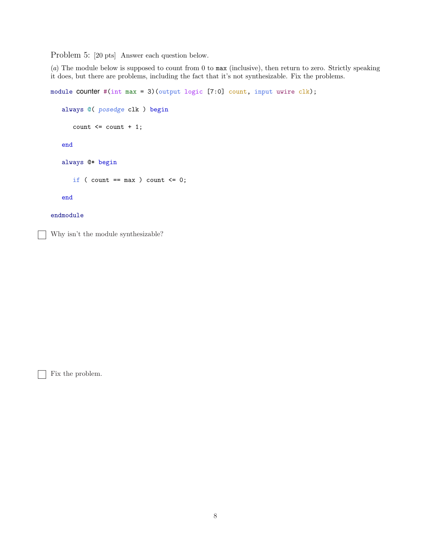Problem 5: [20 pts] Answer each question below.

(a) The module below is supposed to count from 0 to max (inclusive), then return to zero. Strictly speaking it does, but there are problems, including the fact that it's not synthesizable. Fix the problems.

```
module COUNTER #(int max = 3)(output logic [7:0] count, input uwire clk);
   always @( posedge clk ) begin
      count \leq count + 1;end
   always @* begin
      if ( count == max ) count <= 0;end
endmodule
```
Why isn't the module synthesizable?

 $\Box$  Fix the problem.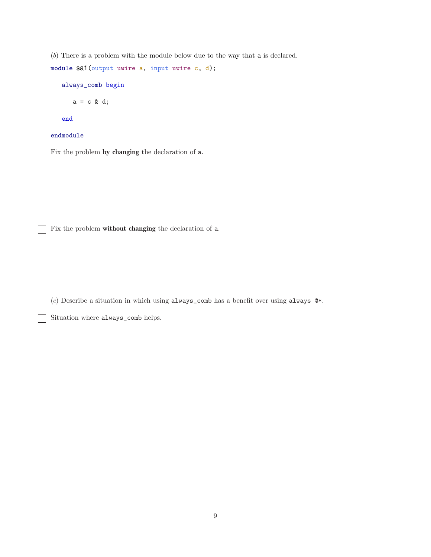(b) There is a problem with the module below due to the way that a is declared. module sa1(output uwire a, input uwire c, d); always\_comb begin  $a = c \& d;$ end endmodule Fix the problem by changing the declaration of a.

Fix the problem without changing the declaration of a.  $\overline{\phantom{a}}$ 

(c) Describe a situation in which using always\_comb has a benefit over using always @\*.

Situation where always\_comb helps.